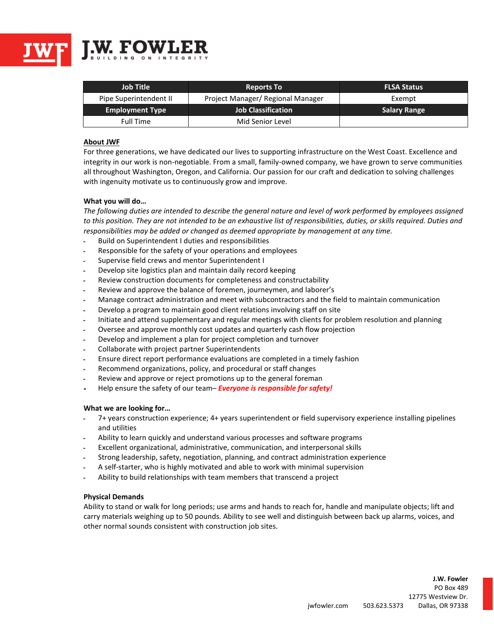

| <b>Job Title</b>       | <b>Reports To</b>                 | <b>FLSA Status</b>  |
|------------------------|-----------------------------------|---------------------|
| Pipe Superintendent II | Project Manager/ Regional Manager | Exempt              |
| <b>Employment Type</b> | <b>Job Classification</b>         | <b>Salary Range</b> |
| Full Time              | Mid Senior Level                  |                     |

# **About JWF**

For three generations, we have dedicated our lives to supporting infrastructure on the West Coast. Excellence and integrity in our work is non-negotiable. From a small, family-owned company, we have grown to serve communities all throughout Washington, Oregon, and California. Our passion for our craft and dedication to solving challenges with ingenuity motivate us to continuously grow and improve.

### **What you will do…**

*The following duties are intended to describe the general nature and level of work performed by employees assigned to this position. They are not intended to be an exhaustive list of responsibilities, duties, or skills required. Duties and responsibilities may be added or changed as deemed appropriate by management at any time.*

- ـ Build on Superintendent I duties and responsibilities
- ـ Responsible for the safety of your operations and employees
- ـ Supervise field crews and mentor Superintendent I
- ـ Develop site logistics plan and maintain daily record keeping
- ـ Review construction documents for completeness and constructability
- ـ Review and approve the balance of foremen, journeymen, and laborer's
- ـ Manage contract administration and meet with subcontractors and the field to maintain communication
- ـ Develop a program to maintain good client relations involving staff on site
- ـ Initiate and attend supplementary and regular meetings with clients for problem resolution and planning
- ـ Oversee and approve monthly cost updates and quarterly cash flow projection
- ـ Develop and implement a plan for project completion and turnover
- ـ Collaborate with project partner Superintendents
- ـ Ensure direct report performance evaluations are completed in a timely fashion
- ـ Recommend organizations, policy, and procedural or staff changes
- ـ Review and approve or reject promotions up to the general foreman
- **<sup>ـ</sup>** Help ensure the safety of our team– *Everyone is responsible for safety!*

### **What we are looking for…**

- ـ 7+ years construction experience; 4+ years superintendent or field supervisory experience installing pipelines and utilities
- ـ Ability to learn quickly and understand various processes and software programs
- ـ Excellent organizational, administrative, communication, and interpersonal skills
- ـ Strong leadership, safety, negotiation, planning, and contract administration experience
- ـ A self-starter, who is highly motivated and able to work with minimal supervision
- ـ Ability to build relationships with team members that transcend a project

### **Physical Demands**

Ability to stand or walk for long periods; use arms and hands to reach for, handle and manipulate objects; lift and carry materials weighing up to 50 pounds. Ability to see well and distinguish between back up alarms, voices, and other normal sounds consistent with construction job sites.